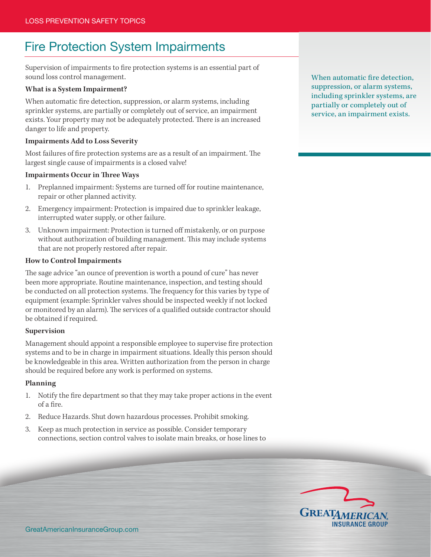# Fire Protection System Impairments

Supervision of impairments to fire protection systems is an essential part of sound loss control management.

# **What is a System Impairment?**

When automatic fire detection, suppression, or alarm systems, including sprinkler systems, are partially or completely out of service, an impairment exists. Your property may not be adequately protected. There is an increased danger to life and property.

# **Impairments Add to Loss Severity**

Most failures of fire protection systems are as a result of an impairment. The largest single cause of impairments is a closed valve!

# **Impairments Occur in Three Ways**

- 1. Preplanned impairment: Systems are turned off for routine maintenance, repair or other planned activity.
- 2. Emergency impairment: Protection is impaired due to sprinkler leakage, interrupted water supply, or other failure.
- 3. Unknown impairment: Protection is turned off mistakenly, or on purpose without authorization of building management. This may include systems that are not properly restored after repair.

### **How to Control Impairments**

The sage advice "an ounce of prevention is worth a pound of cure" has never been more appropriate. Routine maintenance, inspection, and testing should be conducted on all protection systems. The frequency for this varies by type of equipment (example: Sprinkler valves should be inspected weekly if not locked or monitored by an alarm). The services of a qualified outside contractor should be obtained if required.

### **Supervision**

Management should appoint a responsible employee to supervise fire protection systems and to be in charge in impairment situations. Ideally this person should be knowledgeable in this area. Written authorization from the person in charge should be required before any work is performed on systems.

### **Planning**

- 1. Notify the fire department so that they may take proper actions in the event of a fire.
- 2. Reduce Hazards. Shut down hazardous processes. Prohibit smoking.
- 3. Keep as much protection in service as possible. Consider temporary connections, section control valves to isolate main breaks, or hose lines to

When automatic fire detection, suppression, or alarm systems, including sprinkler systems, are partially or completely out of service, an impairment exists.